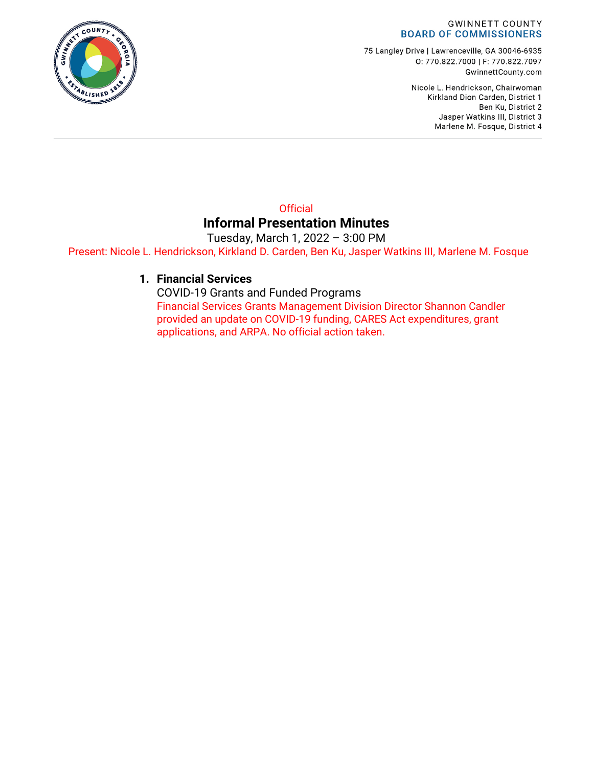#### **GWINNETT COUNTY BOARD OF COMMISSIONERS**

75 Langley Drive | Lawrenceville, GA 30046-6935 0: 770.822.7000 | F: 770.822.7097 GwinnettCounty.com

> Nicole L. Hendrickson, Chairwoman Kirkland Dion Carden, District 1 Ben Ku, District 2 Jasper Watkins III, District 3 Marlene M. Fosque, District 4

#### **Official Informal Presentation Minutes**

Tuesday, March 1, 2022 – 3:00 PM Present: Nicole L. Hendrickson, Kirkland D. Carden, Ben Ku, Jasper Watkins III, Marlene M. Fosque

#### **1. Financial Services**

COVID-19 Grants and Funded Programs Financial Services Grants Management Division Director Shannon Candler provided an update on COVID-19 funding, CARES Act expenditures, grant applications, and ARPA. No official action taken.

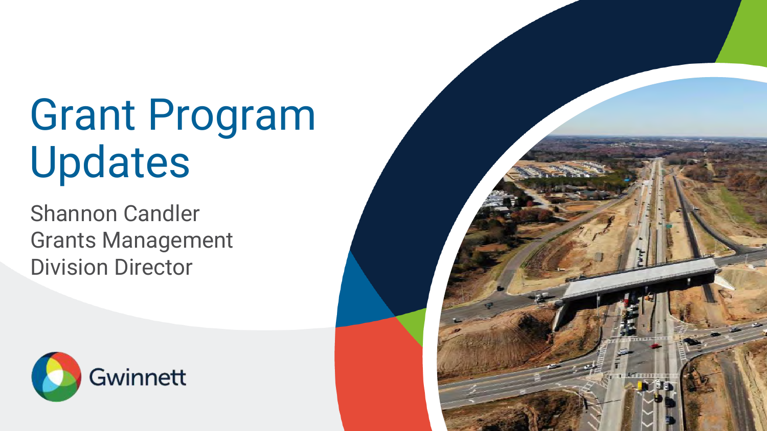# Grant Program Updates

Shannon Candler Grants Management Division Director



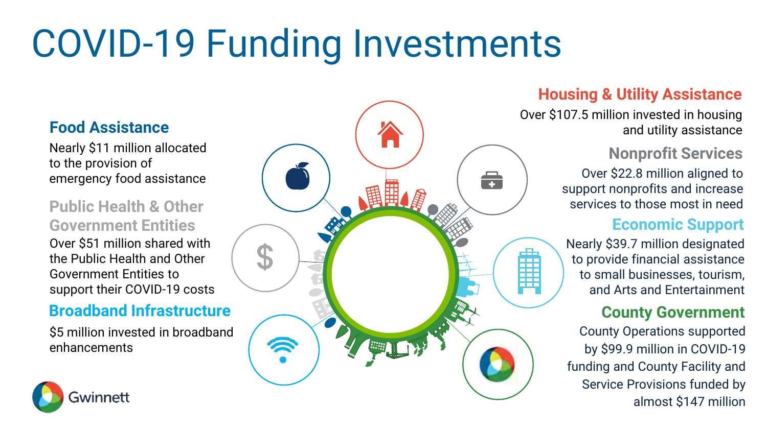# COVID-19 Funding Investments

### **Food Assistance**

Nearly \$11 million allocated to the provision of emergency food assistance

### **Public Health & Other Government Entities**

Over \$51 million shared with the Public Health and Other Government Entities to support their COVID-19 costs

#### **Broadband Infrastructure**

\$5 million invested in broadband enhancements





### **Housing & Utility Assistance**

Over \$107.5 million invested in housing and utility assistance

### **Nonprofit Services**

Over \$22.8 million aligned to support nonprofits and increase services to those most in need

#### **Economic Support**

Nearly \$39.7 million designated to provide financial assistance to small businesses, tourism, and Arts and Entertainment

#### **County Government**

County Operations supported by \$99.9 million in COVID-19 funding and County Facility and Service Provisions funded by almost \$147 million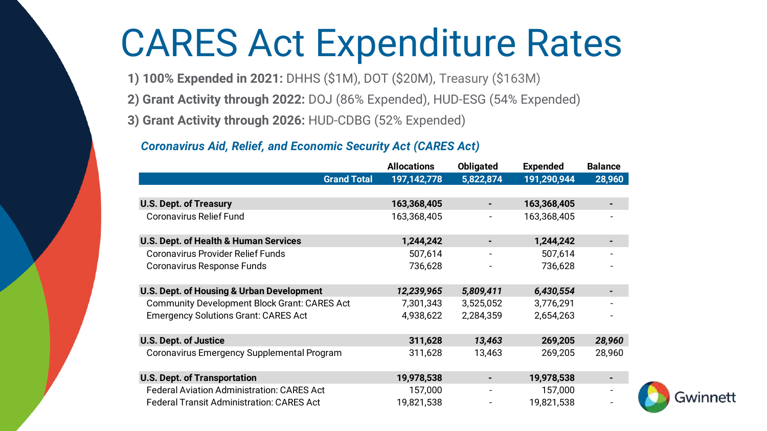## CARES Act Expenditure Rates

**1) 100% Expended in 2021:** DHHS (\$1M), DOT (\$20M), Treasury (\$163M)

- **2) Grant Activity through 2022:** DOJ (86% Expended), HUD-ESG (54% Expended)
- **3) Grant Activity through 2026:** HUD-CDBG (52% Expended)

#### *Coronavirus Aid, Relief, and Economic Security Act (CARES Act)*

|                                                      | <b>Allocations</b> | <b>Obligated</b>         | <b>Expended</b> | <b>Balance</b> |
|------------------------------------------------------|--------------------|--------------------------|-----------------|----------------|
| <b>Grand Total</b>                                   | 197, 142, 778      | 5,822,874                | 191,290,944     | 28,960         |
|                                                      |                    |                          |                 |                |
| <b>U.S. Dept. of Treasury</b>                        | 163,368,405        | ۰                        | 163,368,405     |                |
| <b>Coronavirus Relief Fund</b>                       | 163,368,405        | $\overline{\phantom{a}}$ | 163,368,405     |                |
|                                                      |                    |                          |                 |                |
| U.S. Dept. of Health & Human Services                | 1,244,242          | ٠                        | 1,244,242       |                |
| <b>Coronavirus Provider Relief Funds</b>             | 507,614            | $\overline{\phantom{a}}$ | 507,614         |                |
| Coronavirus Response Funds                           | 736,628            |                          | 736,628         |                |
|                                                      |                    |                          |                 |                |
| <b>U.S. Dept. of Housing &amp; Urban Development</b> | 12,239,965         | 5,809,411                | 6,430,554       |                |
| <b>Community Development Block Grant: CARES Act</b>  | 7,301,343          | 3,525,052                | 3,776,291       |                |
| <b>Emergency Solutions Grant: CARES Act</b>          | 4,938,622          | 2,284,359                | 2,654,263       |                |
|                                                      |                    |                          |                 |                |
| <b>U.S. Dept. of Justice</b>                         | 311,628            | 13,463                   | 269,205         | 28,960         |
| Coronavirus Emergency Supplemental Program           | 311,628            | 13,463                   | 269,205         | 28,960         |
|                                                      |                    |                          |                 |                |
| <b>U.S. Dept. of Transportation</b>                  | 19,978,538         | ٠                        | 19,978,538      |                |
| <b>Federal Aviation Administration: CARES Act</b>    | 157,000            | $\overline{\phantom{a}}$ | 157,000         |                |
| <b>Federal Transit Administration: CARES Act</b>     | 19,821,538         |                          | 19,821,538      |                |

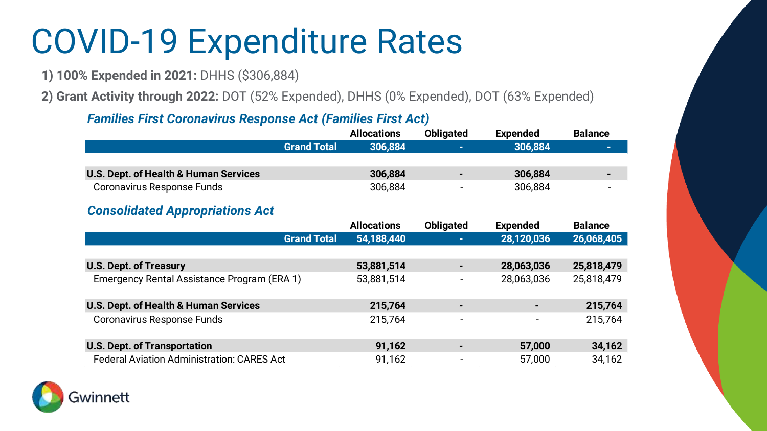## COVID-19 Expenditure Rates

**1) 100% Expended in 2021:** DHHS (\$306,884)

**2) Grant Activity through 2022:** DOT (52% Expended), DHHS (0% Expended), DOT (63% Expended)

#### *Families First Coronavirus Response Act (Families First Act)*

|                                                   | <b>Allocations</b> | <b>Obligated</b>             | <b>Expended</b> | <b>Balance</b> |
|---------------------------------------------------|--------------------|------------------------------|-----------------|----------------|
| <b>Grand Total</b>                                | 306,884            | $\sim$                       | 306,884         |                |
|                                                   |                    |                              |                 |                |
| <b>U.S. Dept. of Health &amp; Human Services</b>  | 306,884            | ٠                            | 306,884         |                |
| Coronavirus Response Funds                        | 306,884            |                              | 306,884         |                |
| <b>Consolidated Appropriations Act</b>            |                    |                              |                 |                |
|                                                   | <b>Allocations</b> | <b>Obligated</b>             | <b>Expended</b> | <b>Balance</b> |
| <b>Grand Total</b>                                | 54,188,440         | ٠.                           | 28,120,036      | 26,068,405     |
|                                                   |                    |                              |                 |                |
| <b>U.S. Dept. of Treasury</b>                     | 53,881,514         | ٠                            | 28,063,036      | 25,818,479     |
| Emergency Rental Assistance Program (ERA 1)       | 53,881,514         | $\qquad \qquad \blacksquare$ | 28,063,036      | 25,818,479     |
|                                                   |                    |                              |                 |                |
| U.S. Dept. of Health & Human Services             | 215,764            | -                            |                 | 215,764        |
| <b>Coronavirus Response Funds</b>                 | 215,764            | $\overline{\phantom{a}}$     |                 | 215,764        |
|                                                   |                    |                              |                 |                |
| <b>U.S. Dept. of Transportation</b>               | 91,162             |                              | 57,000          | 34,162         |
| <b>Federal Aviation Administration: CARES Act</b> | 91,162             |                              | 57,000          | 34,162         |

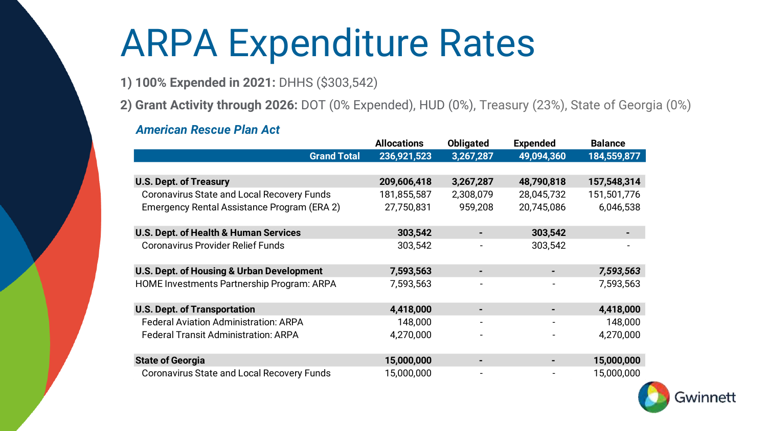## ARPA Expenditure Rates

- **1) 100% Expended in 2021:** DHHS (\$303,542)
- **2) Grant Activity through 2026:** DOT (0% Expended), HUD (0%), Treasury (23%), State of Georgia (0%)

#### *American Rescue Plan Act*

|                                                   | <b>Allocations</b> | <b>Obligated</b> | <b>Expended</b> | <b>Balance</b> |
|---------------------------------------------------|--------------------|------------------|-----------------|----------------|
| <b>Grand Total</b>                                | 236,921,523        | 3,267,287        | 49,094,360      | 184,559,877    |
|                                                   |                    |                  |                 |                |
| <b>U.S. Dept. of Treasury</b>                     | 209,606,418        | 3,267,287        | 48,790,818      | 157,548,314    |
| <b>Coronavirus State and Local Recovery Funds</b> | 181,855,587        | 2,308,079        | 28,045,732      | 151,501,776    |
| Emergency Rental Assistance Program (ERA 2)       | 27,750,831         | 959,208          | 20,745,086      | 6,046,538      |
| U.S. Dept. of Health & Human Services             | 303,542            |                  | 303,542         |                |
| <b>Coronavirus Provider Relief Funds</b>          | 303,542            |                  | 303,542         |                |
| U.S. Dept. of Housing & Urban Development         | 7,593,563          |                  |                 | 7,593,563      |
| <b>HOME Investments Partnership Program: ARPA</b> | 7,593,563          |                  |                 | 7,593,563      |
| <b>U.S. Dept. of Transportation</b>               | 4,418,000          |                  | ٠               | 4,418,000      |
| <b>Federal Aviation Administration: ARPA</b>      | 148,000            |                  |                 | 148,000        |
| <b>Federal Transit Administration: ARPA</b>       | 4,270,000          |                  |                 | 4,270,000      |
| <b>State of Georgia</b>                           | 15,000,000         |                  | ۰               | 15,000,000     |
| <b>Coronavirus State and Local Recovery Funds</b> | 15,000,000         |                  |                 | 15,000,000     |

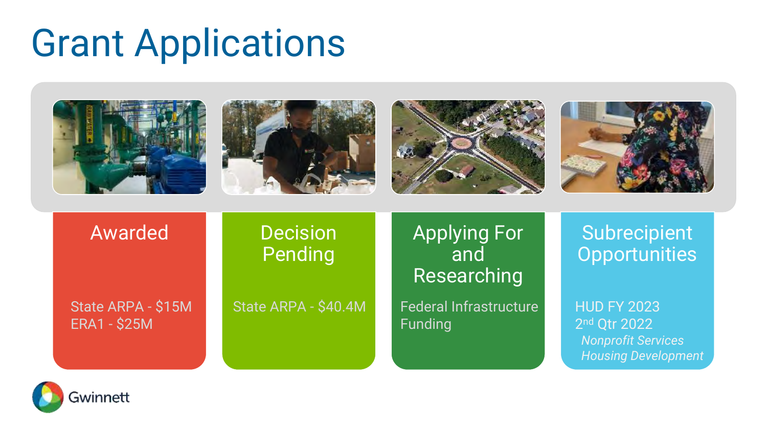## Grant Applications



Funding

State ARPA - \$15M ERA1 - \$25M

State ARPA - \$40.4M Federal Infrastructure

HUD FY 2023 2 nd Qtr 2022 *Nonprofit Services Housing Development*